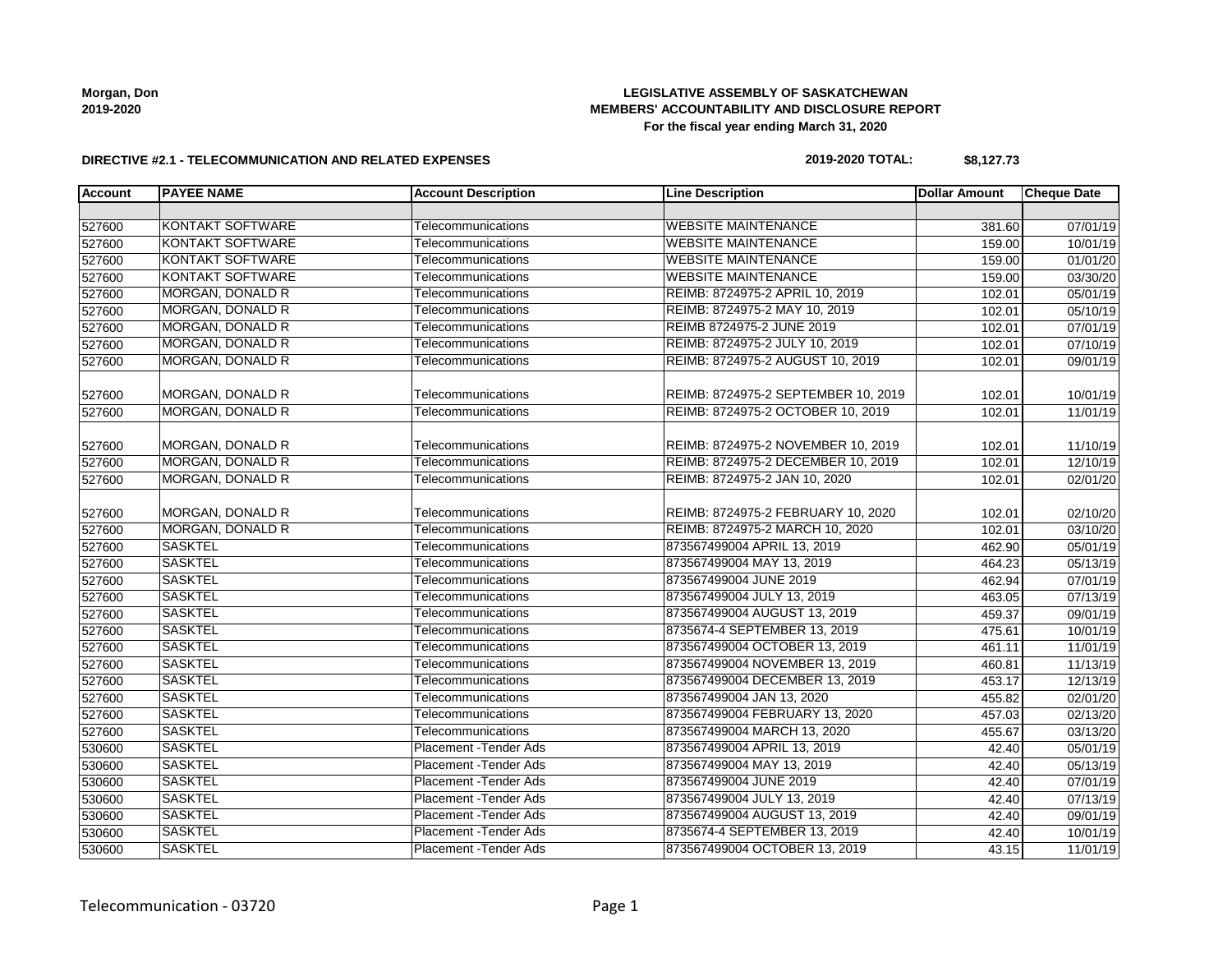**Morgan, Don 2019-2020**

## **LEGISLATIVE ASSEMBLY OF SASKATCHEWAN MEMBERS' ACCOUNTABILITY AND DISCLOSURE REPORT For the fiscal year ending March 31, 2020**

### **DIRECTIVE #2.1 - TELECOMMUNICATION AND RELATED EXPENSES**

### **2019-2020 TOTAL: \$8,127.73**

| <b>Account</b> | <b>PAYEE NAME</b>       | <b>Account Description</b>    | <b>Line Description</b>             | <b>Dollar Amount</b> | <b>Cheque Date</b> |
|----------------|-------------------------|-------------------------------|-------------------------------------|----------------------|--------------------|
|                |                         |                               |                                     |                      |                    |
| 527600         | <b>KONTAKT SOFTWARE</b> | Telecommunications            | <b>WEBSITE MAINTENANCE</b>          | 381.60               | 07/01/19           |
| 527600         | <b>KONTAKT SOFTWARE</b> | Telecommunications            | <b>WEBSITE MAINTENANCE</b>          | 159.00               | 10/01/19           |
| 527600         | <b>KONTAKT SOFTWARE</b> | Telecommunications            | <b>WEBSITE MAINTENANCE</b>          | 159.00               | 01/01/20           |
| 527600         | <b>KONTAKT SOFTWARE</b> | Telecommunications            | <b>WEBSITE MAINTENANCE</b>          | 159.00               | 03/30/20           |
| 527600         | <b>MORGAN, DONALD R</b> | Telecommunications            | REIMB: 8724975-2 APRIL 10, 2019     | 102.01               | 05/01/19           |
| 527600         | <b>MORGAN, DONALD R</b> | Telecommunications            | REIMB: 8724975-2 MAY 10, 2019       | 102.01               | 05/10/19           |
| 527600         | <b>MORGAN, DONALD R</b> | Telecommunications            | REIMB 8724975-2 JUNE 2019           | 102.01               | 07/01/19           |
| 527600         | MORGAN, DONALD R        | Telecommunications            | REIMB: 8724975-2 JULY 10, 2019      | 102.01               | 07/10/19           |
| 527600         | <b>MORGAN, DONALD R</b> | Telecommunications            | REIMB: 8724975-2 AUGUST 10, 2019    | 102.01               | 09/01/19           |
| 527600         | MORGAN, DONALD R        | Telecommunications            | REIMB: 8724975-2 SEPTEMBER 10, 2019 | 102.01               | 10/01/19           |
| 527600         | <b>MORGAN, DONALD R</b> | Telecommunications            | REIMB: 8724975-2 OCTOBER 10, 2019   | 102.01               | 11/01/19           |
| 527600         | MORGAN, DONALD R        | Telecommunications            | REIMB: 8724975-2 NOVEMBER 10, 2019  | 102.01               | 11/10/19           |
| 527600         | <b>MORGAN, DONALD R</b> | Telecommunications            | REIMB: 8724975-2 DECEMBER 10, 2019  | 102.01               | 12/10/19           |
| 527600         | <b>MORGAN, DONALD R</b> | Telecommunications            | REIMB: 8724975-2 JAN 10, 2020       | 102.01               | 02/01/20           |
| 527600         | MORGAN, DONALD R        | Telecommunications            | REIMB: 8724975-2 FEBRUARY 10, 2020  | 102.01               | 02/10/20           |
| 527600         | MORGAN, DONALD R        | Telecommunications            | REIMB: 8724975-2 MARCH 10, 2020     | 102.01               | 03/10/20           |
| 527600         | <b>SASKTEL</b>          | Telecommunications            | 873567499004 APRIL 13, 2019         | 462.90               | 05/01/19           |
| 527600         | <b>SASKTEL</b>          | Telecommunications            | 873567499004 MAY 13, 2019           | 464.23               | 05/13/19           |
| 527600         | <b>SASKTEL</b>          | Telecommunications            | 873567499004 JUNE 2019              | 462.94               | 07/01/19           |
| 527600         | <b>SASKTEL</b>          | Telecommunications            | 873567499004 JULY 13, 2019          | 463.05               | 07/13/19           |
| 527600         | <b>SASKTEL</b>          | Telecommunications            | 873567499004 AUGUST 13, 2019        | 459.37               | 09/01/19           |
| 527600         | <b>SASKTEL</b>          | Telecommunications            | 8735674-4 SEPTEMBER 13, 2019        | 475.61               | 10/01/19           |
| 527600         | <b>SASKTEL</b>          | Telecommunications            | 873567499004 OCTOBER 13, 2019       | 461.11               | 11/01/19           |
| 527600         | <b>SASKTEL</b>          | Telecommunications            | 873567499004 NOVEMBER 13, 2019      | 460.81               | 11/13/19           |
| 527600         | <b>SASKTEL</b>          | Telecommunications            | 873567499004 DECEMBER 13, 2019      | 453.17               | 12/13/19           |
| 527600         | <b>SASKTEL</b>          | Telecommunications            | 873567499004 JAN 13, 2020           | 455.82               | 02/01/20           |
| 527600         | <b>SASKTEL</b>          | Telecommunications            | 873567499004 FEBRUARY 13, 2020      | 457.03               | 02/13/20           |
| 527600         | <b>SASKTEL</b>          | Telecommunications            | 873567499004 MARCH 13, 2020         | 455.67               | 03/13/20           |
| 530600         | <b>SASKTEL</b>          | Placement - Tender Ads        | 873567499004 APRIL 13, 2019         | 42.40                | 05/01/19           |
| 530600         | <b>SASKTEL</b>          | Placement - Tender Ads        | 873567499004 MAY 13, 2019           | 42.40                | 05/13/19           |
| 530600         | <b>SASKTEL</b>          | Placement - Tender Ads        | 873567499004 JUNE 2019              | 42.40                | 07/01/19           |
| 530600         | <b>SASKTEL</b>          | Placement - Tender Ads        | 873567499004 JULY 13, 2019          | 42.40                | 07/13/19           |
| 530600         | <b>SASKTEL</b>          | Placement - Tender Ads        | 873567499004 AUGUST 13, 2019        | 42.40                | 09/01/19           |
| 530600         | <b>SASKTEL</b>          | Placement - Tender Ads        | 8735674-4 SEPTEMBER 13, 2019        | 42.40                | 10/01/19           |
| 530600         | <b>SASKTEL</b>          | <b>Placement - Tender Ads</b> | 873567499004 OCTOBER 13, 2019       | 43.15                | 11/01/19           |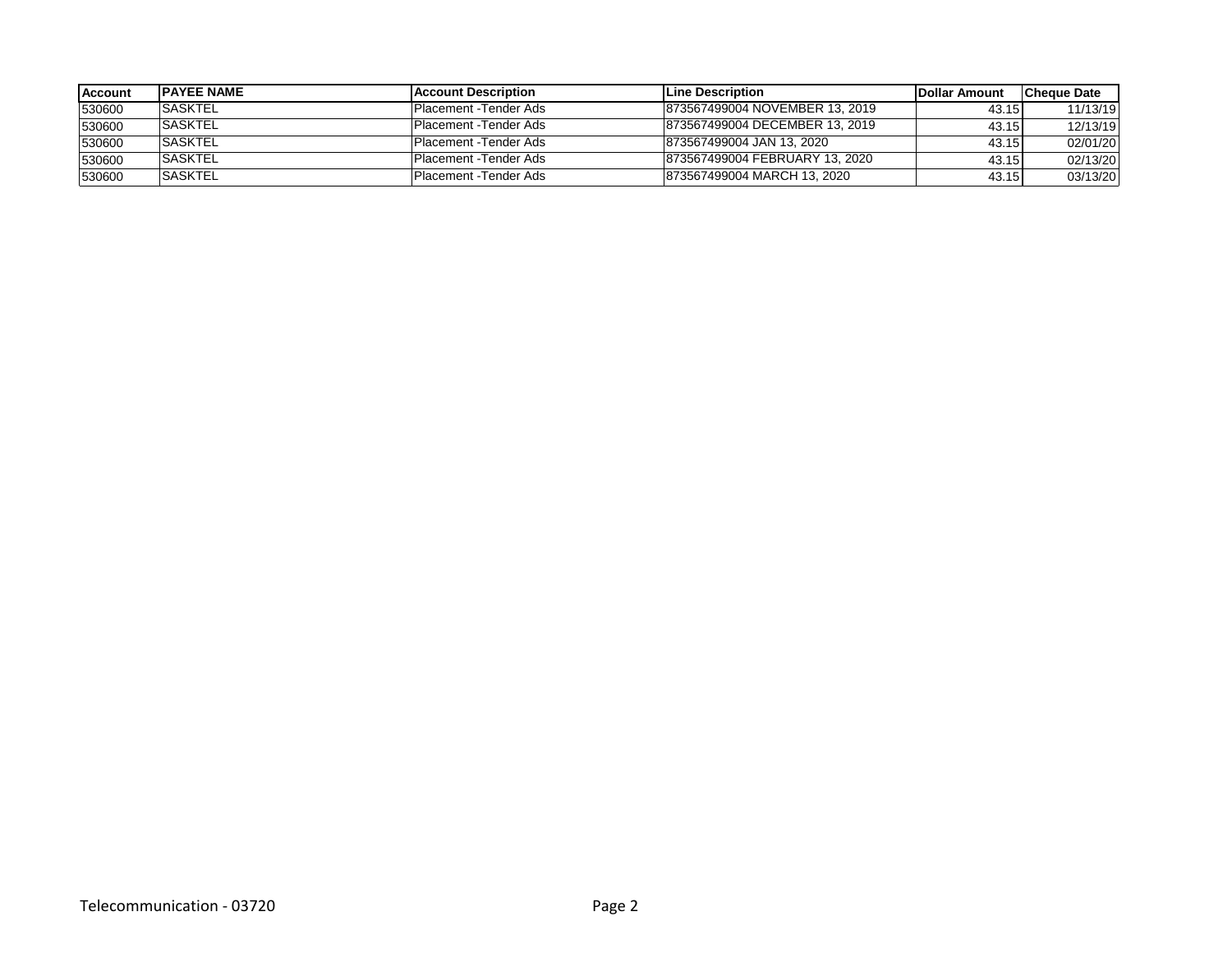| <b>Account</b> | <b>IPAYEE NAME</b> | <b>IAccount Description</b>   | <b>ILine Description</b>        | <b>IDollar Amount</b> | <b>ICheque Date</b> |
|----------------|--------------------|-------------------------------|---------------------------------|-----------------------|---------------------|
| 530600         | <b>SASKTEL</b>     | <b>Placement -Tender Ads</b>  | 1873567499004 NOVEMBER 13, 2019 | 43.15                 | 11/13/19            |
| 530600         | <b>SASKTEL</b>     | <b>Placement - Tender Ads</b> | 873567499004 DECEMBER 13, 2019  | 43.15                 | 12/13/19            |
| 530600         | <b>SASKTEL</b>     | <b>Placement -Tender Ads</b>  | 873567499004 JAN 13, 2020       | 43.15                 | 02/01/20            |
| 530600         | <b>SASKTEL</b>     | <b>Placement - Tender Ads</b> | 873567499004 FEBRUARY 13, 2020  | 43.15                 | 02/13/20            |
| 530600         | <b>SASKTEL</b>     | <b>Placement -Tender Ads</b>  | 873567499004 MARCH 13, 2020     | 43.15                 | 03/13/20            |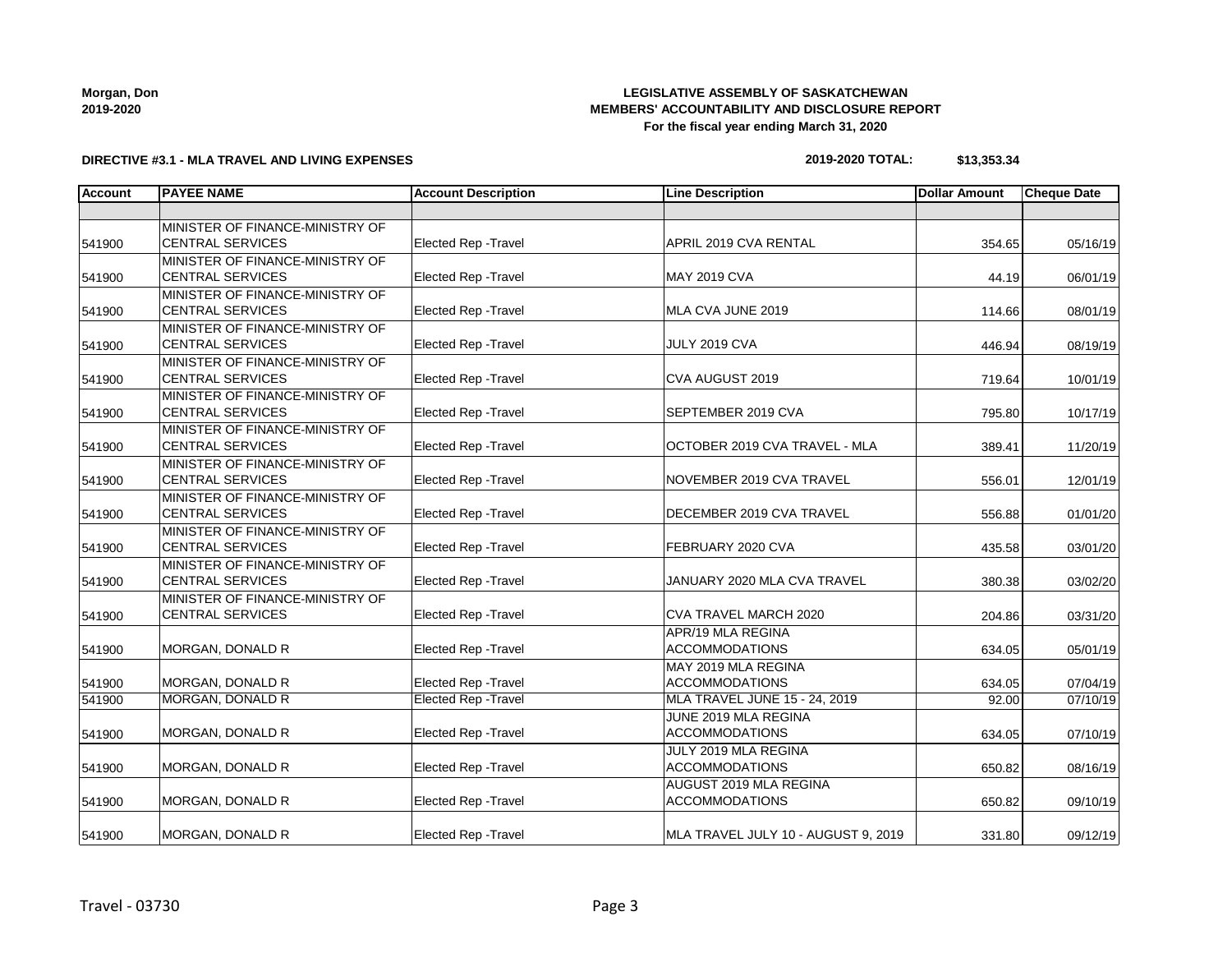| Morgan, Don |
|-------------|
| 2019-2020   |

# **LEGISLATIVE ASSEMBLY OF SASKATCHEWAN MEMBERS' ACCOUNTABILITY AND DISCLOSURE REPORT For the fiscal year ending March 31, 2020**

## **DIRECTIVE #3.1 - MLA TRAVEL AND LIVING EXPENSES**

| 2019-2020 TOTAL: | \$13,353.34 |
|------------------|-------------|
|------------------|-------------|

| <b>Account</b> | <b>PAYEE NAME</b>                                          | <b>Account Description</b>  | <b>Line Description</b>                         | <b>Dollar Amount</b> | <b>Cheque Date</b> |
|----------------|------------------------------------------------------------|-----------------------------|-------------------------------------------------|----------------------|--------------------|
|                |                                                            |                             |                                                 |                      |                    |
| 541900         | MINISTER OF FINANCE-MINISTRY OF<br><b>CENTRAL SERVICES</b> | Elected Rep - Travel        | APRIL 2019 CVA RENTAL                           | 354.65               | 05/16/19           |
|                | MINISTER OF FINANCE-MINISTRY OF                            |                             |                                                 |                      |                    |
| 541900         | <b>CENTRAL SERVICES</b>                                    | <b>Elected Rep - Travel</b> | <b>MAY 2019 CVA</b>                             | 44.19                | 06/01/19           |
| 541900         | MINISTER OF FINANCE-MINISTRY OF<br><b>CENTRAL SERVICES</b> | <b>Elected Rep - Travel</b> | MLA CVA JUNE 2019                               | 114.66               | 08/01/19           |
| 541900         | MINISTER OF FINANCE-MINISTRY OF<br><b>CENTRAL SERVICES</b> | <b>Elected Rep - Travel</b> | JULY 2019 CVA                                   | 446.94               | 08/19/19           |
| 541900         | MINISTER OF FINANCE-MINISTRY OF<br><b>CENTRAL SERVICES</b> | Elected Rep - Travel        | CVA AUGUST 2019                                 | 719.64               | 10/01/19           |
| 541900         | MINISTER OF FINANCE-MINISTRY OF<br><b>CENTRAL SERVICES</b> | Elected Rep - Travel        | SEPTEMBER 2019 CVA                              | 795.80               | 10/17/19           |
| 541900         | MINISTER OF FINANCE-MINISTRY OF<br><b>CENTRAL SERVICES</b> | Elected Rep - Travel        | OCTOBER 2019 CVA TRAVEL - MLA                   | 389.41               | 11/20/19           |
| 541900         | MINISTER OF FINANCE-MINISTRY OF<br><b>CENTRAL SERVICES</b> | Elected Rep - Travel        | NOVEMBER 2019 CVA TRAVEL                        | 556.01               | 12/01/19           |
| 541900         | MINISTER OF FINANCE-MINISTRY OF<br><b>CENTRAL SERVICES</b> | <b>Elected Rep - Travel</b> | DECEMBER 2019 CVA TRAVEL                        | 556.88               | 01/01/20           |
| 541900         | MINISTER OF FINANCE-MINISTRY OF<br><b>CENTRAL SERVICES</b> | Elected Rep - Travel        | FEBRUARY 2020 CVA                               | 435.58               | 03/01/20           |
| 541900         | MINISTER OF FINANCE-MINISTRY OF<br><b>CENTRAL SERVICES</b> | Elected Rep - Travel        | JANUARY 2020 MLA CVA TRAVEL                     | 380.38               | 03/02/20           |
| 541900         | MINISTER OF FINANCE-MINISTRY OF<br><b>CENTRAL SERVICES</b> | Elected Rep - Travel        | CVA TRAVEL MARCH 2020                           | 204.86               | 03/31/20           |
| 541900         | MORGAN, DONALD R                                           | Elected Rep - Travel        | APR/19 MLA REGINA<br><b>ACCOMMODATIONS</b>      | 634.05               | 05/01/19           |
| 541900         | MORGAN, DONALD R                                           | <b>Elected Rep - Travel</b> | MAY 2019 MLA REGINA<br><b>ACCOMMODATIONS</b>    | 634.05               | 07/04/19           |
| 541900         | <b>MORGAN, DONALD R</b>                                    | <b>Elected Rep - Travel</b> | MLA TRAVEL JUNE 15 - 24, 2019                   | 92.00                | 07/10/19           |
| 541900         | MORGAN, DONALD R                                           | <b>Elected Rep - Travel</b> | JUNE 2019 MLA REGINA<br><b>ACCOMMODATIONS</b>   | 634.05               | 07/10/19           |
| 541900         | <b>MORGAN, DONALD R</b>                                    | Elected Rep - Travel        | JULY 2019 MLA REGINA<br><b>ACCOMMODATIONS</b>   | 650.82               | 08/16/19           |
| 541900         | MORGAN, DONALD R                                           | Elected Rep - Travel        | AUGUST 2019 MLA REGINA<br><b>ACCOMMODATIONS</b> | 650.82               | 09/10/19           |
| 541900         | MORGAN, DONALD R                                           | <b>Elected Rep - Travel</b> | MLA TRAVEL JULY 10 - AUGUST 9, 2019             | 331.80               | 09/12/19           |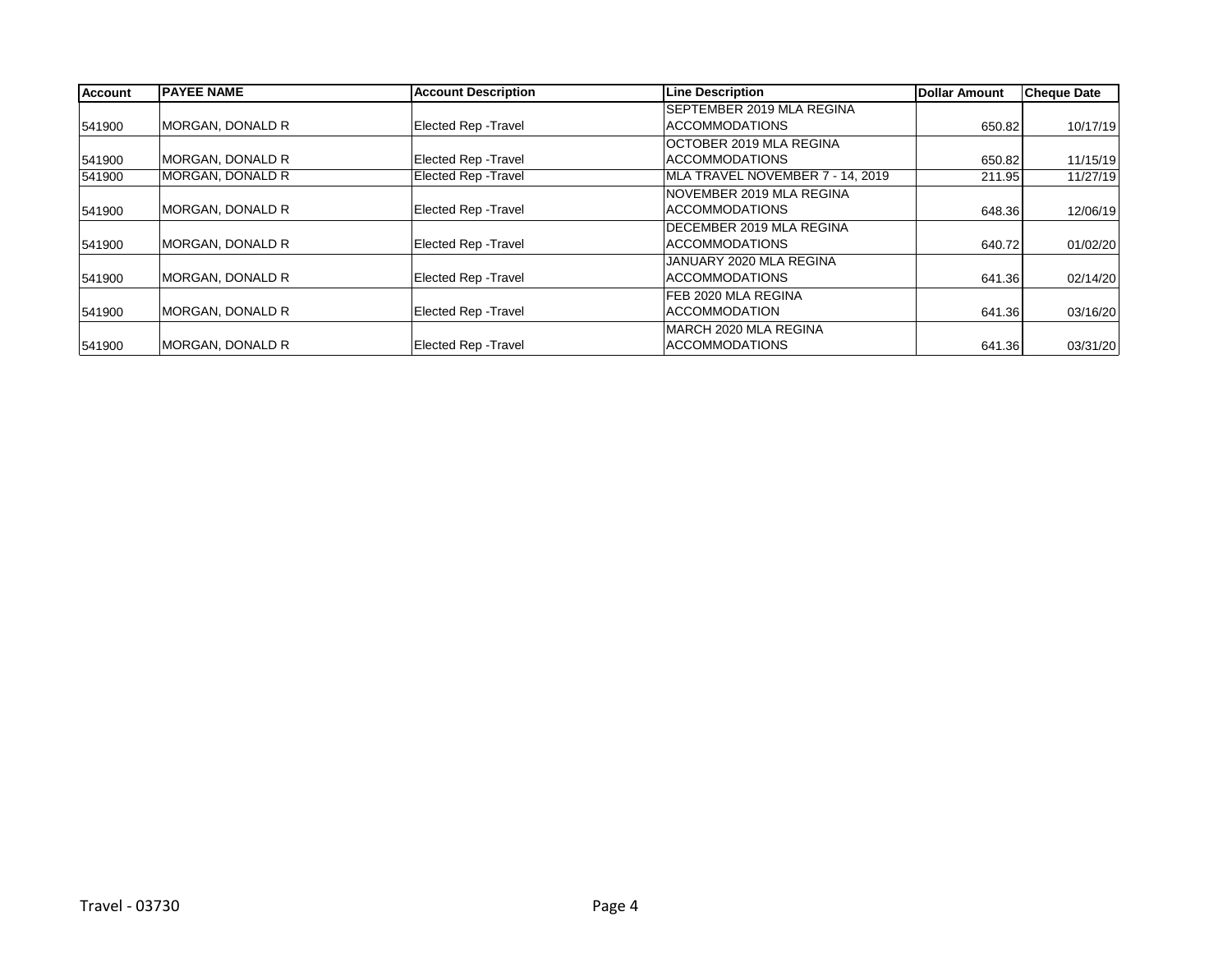| <b>Account</b> | <b>IPAYEE NAME</b> | <b>Account Description</b>  | Line Description                 | <b>Dollar Amount</b> | <b>Cheque Date</b> |
|----------------|--------------------|-----------------------------|----------------------------------|----------------------|--------------------|
|                |                    |                             | SEPTEMBER 2019 MLA REGINA        |                      |                    |
| 541900         | MORGAN, DONALD R   | <b>Elected Rep - Travel</b> | <b>ACCOMMODATIONS</b>            | 650.82               | 10/17/19           |
|                |                    |                             | OCTOBER 2019 MLA REGINA          |                      |                    |
| 541900         | MORGAN, DONALD R   | <b>Elected Rep - Travel</b> | <b>ACCOMMODATIONS</b>            | 650.82               | 11/15/19           |
| 541900         | MORGAN, DONALD R   | <b>Elected Rep - Travel</b> | MLA TRAVEL NOVEMBER 7 - 14, 2019 | 211.95               | 11/27/19           |
|                |                    |                             | NOVEMBER 2019 MLA REGINA         |                      |                    |
| 541900         | MORGAN, DONALD R   | Elected Rep - Travel        | <b>ACCOMMODATIONS</b>            | 648.36               | 12/06/19           |
|                |                    |                             | DECEMBER 2019 MLA REGINA         |                      |                    |
| 541900         | MORGAN, DONALD R   | <b>Elected Rep - Travel</b> | <b>ACCOMMODATIONS</b>            | 640.72               | 01/02/20           |
|                |                    |                             | JANUARY 2020 MLA REGINA          |                      |                    |
| 541900         | MORGAN, DONALD R   | <b>Elected Rep - Travel</b> | <b>ACCOMMODATIONS</b>            | 641.36               | 02/14/20           |
|                |                    |                             | FEB 2020 MLA REGINA              |                      |                    |
| 541900         | MORGAN, DONALD R   | Elected Rep - Travel        | <b>ACCOMMODATION</b>             | 641.36               | 03/16/20           |
|                |                    |                             | MARCH 2020 MLA REGINA            |                      |                    |
| 541900         | MORGAN, DONALD R   | <b>Elected Rep - Travel</b> | <b>ACCOMMODATIONS</b>            | 641.36               | 03/31/20           |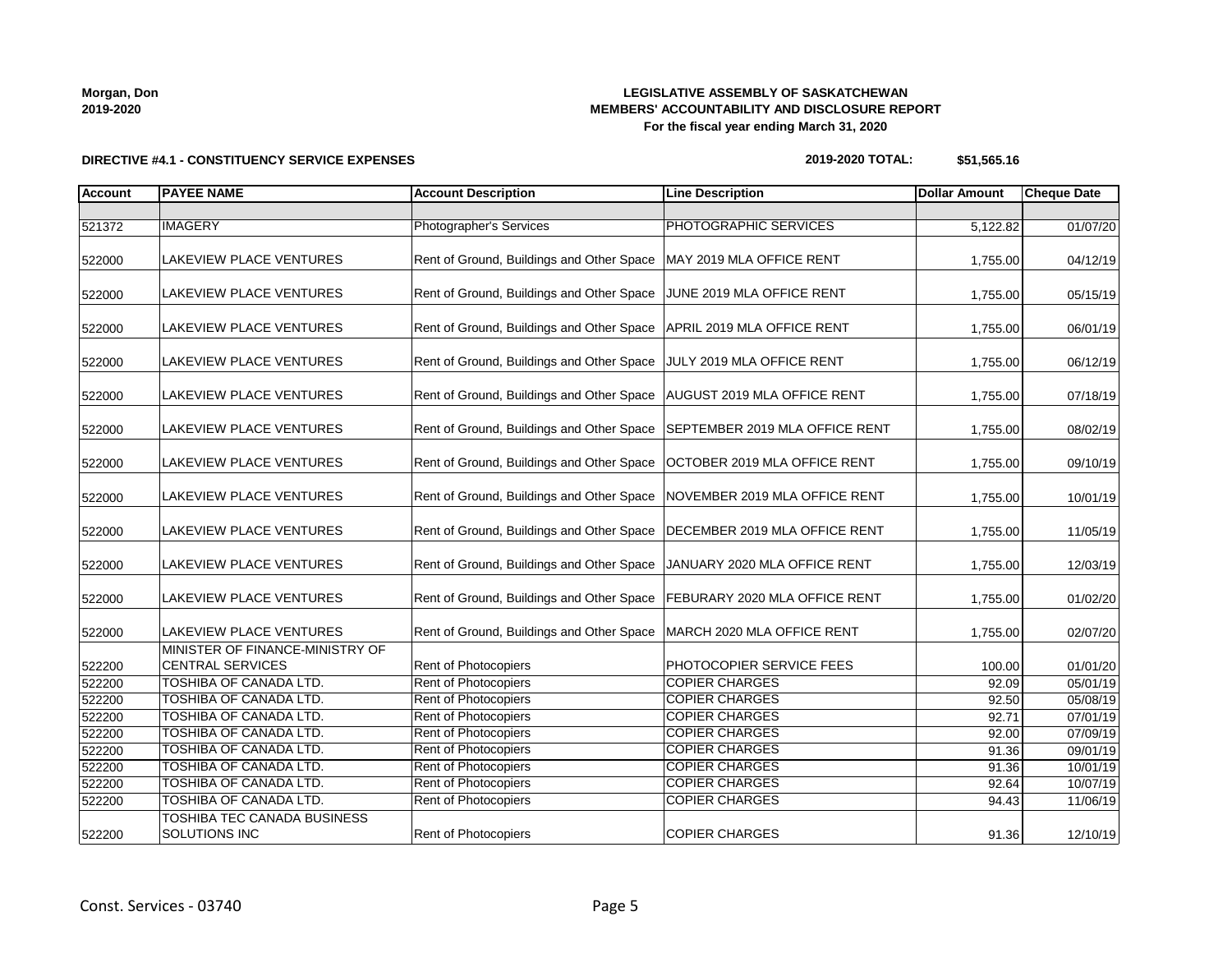**Morgan, Don 2019-2020**

# **LEGISLATIVE ASSEMBLY OF SASKATCHEWAN MEMBERS' ACCOUNTABILITY AND DISCLOSURE REPORT For the fiscal year ending March 31, 2020**

#### **DIRECTIVE #4.1 - CONSTITUENCY SERVICE EXPENSES**

| 2019-2020 TOTAL: | \$51,565.16 |
|------------------|-------------|
|------------------|-------------|

| <b>Account</b> | <b>PAYEE NAME</b>                                          | <b>Account Description</b>                                                 | <b>Line Description</b>         | <b>Dollar Amount</b> | <b>Cheque Date</b> |
|----------------|------------------------------------------------------------|----------------------------------------------------------------------------|---------------------------------|----------------------|--------------------|
|                |                                                            |                                                                            |                                 |                      |                    |
| 521372         | <b>IMAGERY</b>                                             | <b>Photographer's Services</b>                                             | PHOTOGRAPHIC SERVICES           | 5,122.82             | 01/07/20           |
| 522000         | <b>LAKEVIEW PLACE VENTURES</b>                             | Rent of Ground, Buildings and Other Space   MAY 2019 MLA OFFICE RENT       |                                 | 1,755.00             | 04/12/19           |
| 522000         | <b>LAKEVIEW PLACE VENTURES</b>                             | Rent of Ground, Buildings and Other Space                                  | JUNE 2019 MLA OFFICE RENT       | 1,755.00             | 05/15/19           |
| 522000         | <b>LAKEVIEW PLACE VENTURES</b>                             | Rent of Ground, Buildings and Other Space   APRIL 2019 MLA OFFICE RENT     |                                 | 1,755.00             | 06/01/19           |
| 522000         | LAKEVIEW PLACE VENTURES                                    | Rent of Ground, Buildings and Other Space JULY 2019 MLA OFFICE RENT        |                                 | 1,755.00             | 06/12/19           |
| 522000         | LAKEVIEW PLACE VENTURES                                    | Rent of Ground, Buildings and Other Space   AUGUST 2019 MLA OFFICE RENT    |                                 | 1,755.00             | 07/18/19           |
| 522000         | <b>LAKEVIEW PLACE VENTURES</b>                             | Rent of Ground, Buildings and Other Space   SEPTEMBER 2019 MLA OFFICE RENT |                                 | 1,755.00             | 08/02/19           |
| 522000         | <b>LAKEVIEW PLACE VENTURES</b>                             | Rent of Ground, Buildings and Other Space   OCTOBER 2019 MLA OFFICE RENT   |                                 | 1,755.00             | 09/10/19           |
| 522000         | <b>LAKEVIEW PLACE VENTURES</b>                             | Rent of Ground, Buildings and Other Space NOVEMBER 2019 MLA OFFICE RENT    |                                 | 1,755.00             | 10/01/19           |
| 522000         | <b>LAKEVIEW PLACE VENTURES</b>                             | Rent of Ground, Buildings and Other Space   DECEMBER 2019 MLA OFFICE RENT  |                                 | 1,755.00             | 11/05/19           |
| 522000         | <b>LAKEVIEW PLACE VENTURES</b>                             | Rent of Ground, Buildings and Other Space   JANUARY 2020 MLA OFFICE RENT   |                                 | 1,755.00             | 12/03/19           |
| 522000         | LAKEVIEW PLACE VENTURES                                    | Rent of Ground, Buildings and Other Space   FEBURARY 2020 MLA OFFICE RENT  |                                 | 1,755.00             | 01/02/20           |
| 522000         | <b>LAKEVIEW PLACE VENTURES</b>                             | Rent of Ground, Buildings and Other Space   MARCH 2020 MLA OFFICE RENT     |                                 | 1,755.00             | 02/07/20           |
| 522200         | MINISTER OF FINANCE-MINISTRY OF<br><b>CENTRAL SERVICES</b> | <b>Rent of Photocopiers</b>                                                | <b>PHOTOCOPIER SERVICE FEES</b> | 100.00               | 01/01/20           |
| 522200         | <b>TOSHIBA OF CANADA LTD.</b>                              | Rent of Photocopiers                                                       | <b>COPIER CHARGES</b>           | 92.09                | 05/01/19           |
| 522200         | TOSHIBA OF CANADA LTD.                                     | Rent of Photocopiers                                                       | <b>COPIER CHARGES</b>           | 92.50                | 05/08/19           |
| 522200         | TOSHIBA OF CANADA LTD.                                     | Rent of Photocopiers                                                       | <b>COPIER CHARGES</b>           | 92.71                | 07/01/19           |
| 522200         | TOSHIBA OF CANADA LTD.                                     | Rent of Photocopiers                                                       | <b>COPIER CHARGES</b>           | 92.00                | 07/09/19           |
| 522200         | TOSHIBA OF CANADA LTD.                                     | Rent of Photocopiers                                                       | <b>COPIER CHARGES</b>           | 91.36                | 09/01/19           |
| 522200         | TOSHIBA OF CANADA LTD.                                     | Rent of Photocopiers                                                       | <b>COPIER CHARGES</b>           | 91.36                | 10/01/19           |
| 522200         | TOSHIBA OF CANADA LTD.                                     | Rent of Photocopiers                                                       | <b>COPIER CHARGES</b>           | 92.64                | 10/07/19           |
| 522200         | TOSHIBA OF CANADA LTD.                                     | Rent of Photocopiers                                                       | <b>COPIER CHARGES</b>           | 94.43                | 11/06/19           |
| 522200         | TOSHIBA TEC CANADA BUSINESS<br><b>SOLUTIONS INC</b>        | <b>Rent of Photocopiers</b>                                                | <b>COPIER CHARGES</b>           | 91.36                | 12/10/19           |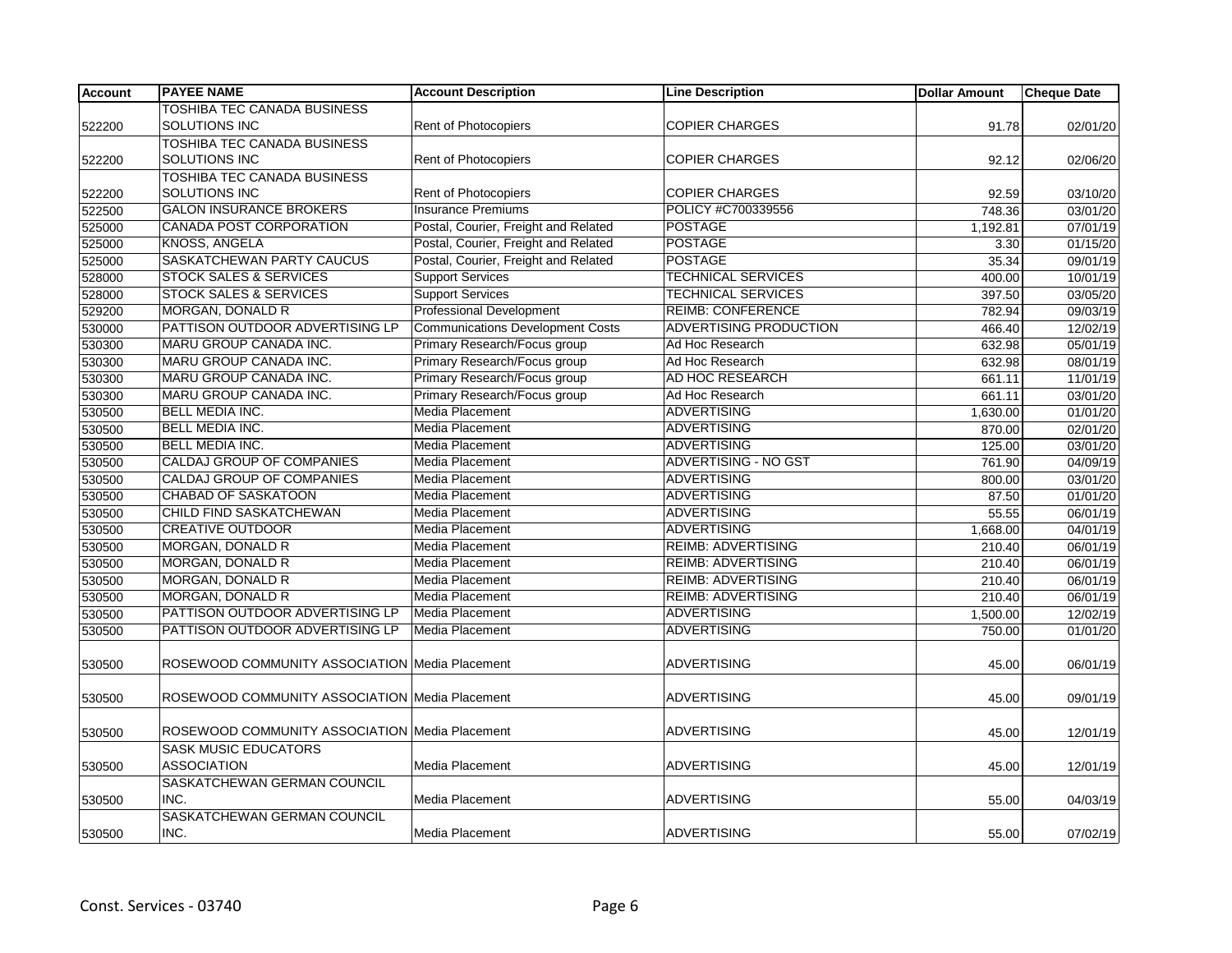| <b>TOSHIBA TEC CANADA BUSINESS</b><br>SOLUTIONS INC<br><b>Rent of Photocopiers</b><br><b>COPIER CHARGES</b><br>91.78<br>02/01/20<br>TOSHIBA TEC CANADA BUSINESS<br>SOLUTIONS INC<br>Rent of Photocopiers<br><b>COPIER CHARGES</b><br>02/06/20<br>92.12<br>TOSHIBA TEC CANADA BUSINESS<br><b>SOLUTIONS INC</b><br><b>COPIER CHARGES</b><br><b>Rent of Photocopiers</b><br>92.59<br>03/10/20<br><b>Insurance Premiums</b><br>POLICY #C700339556<br><b>GALON INSURANCE BROKERS</b><br>748.36<br>03/01/20<br>Postal, Courier, Freight and Related<br><b>POSTAGE</b><br><b>CANADA POST CORPORATION</b><br>07/01/19<br>1,192.81<br><b>KNOSS, ANGELA</b><br>Postal, Courier, Freight and Related<br><b>POSTAGE</b><br>01/15/20<br>3.30<br>Postal, Courier, Freight and Related<br><b>POSTAGE</b><br><b>SASKATCHEWAN PARTY CAUCUS</b><br>09/01/19<br>35.34<br><b>TECHNICAL SERVICES</b><br>528000<br><b>STOCK SALES &amp; SERVICES</b><br><b>Support Services</b><br>400.00<br>10/01/19<br><b>STOCK SALES &amp; SERVICES</b><br><b>Support Services</b><br><b>TECHNICAL SERVICES</b><br>03/05/20<br>397.50<br><b>REIMB: CONFERENCE</b><br>MORGAN, DONALD R<br><b>Professional Development</b><br>529200<br>782.94<br>09/03/19<br><b>Communications Development Costs</b><br>PATTISON OUTDOOR ADVERTISING LP<br>ADVERTISING PRODUCTION<br>530000<br>466.40<br>12/02/19<br>MARU GROUP CANADA INC.<br>Primary Research/Focus group<br>530300<br>Ad Hoc Research<br>05/01/19<br>632.98<br>MARU GROUP CANADA INC.<br>Primary Research/Focus group<br>Ad Hoc Research<br>08/01/19<br>530300<br>632.98<br><b>MARU GROUP CANADA INC.</b><br>Primary Research/Focus group<br><b>AD HOC RESEARCH</b><br>530300<br>661.11<br>11/01/19<br>MARU GROUP CANADA INC.<br>Primary Research/Focus group<br>Ad Hoc Research<br>530300<br>03/01/20<br>661.11<br><b>BELL MEDIA INC.</b><br><b>Media Placement</b><br><b>ADVERTISING</b><br>01/01/20<br>530500<br>1,630.00<br><b>BELL MEDIA INC.</b><br>Media Placement<br><b>ADVERTISING</b><br>530500<br>870.00<br>02/01/20<br><b>Media Placement</b><br><b>BELL MEDIA INC.</b><br><b>ADVERTISING</b><br>03/01/20<br>530500<br>125.00<br><b>CALDAJ GROUP OF COMPANIES</b><br><b>ADVERTISING - NO GST</b><br>Media Placement<br>04/09/19<br>761.90<br><b>CALDAJ GROUP OF COMPANIES</b><br><b>Media Placement</b><br><b>ADVERTISING</b><br>530500<br>03/01/20<br>800.00<br><b>ADVERTISING</b><br><b>CHABAD OF SASKATOON</b><br>Media Placement<br>87.50<br>01/01/20<br>530500<br>CHILD FIND SASKATCHEWAN<br>Media Placement<br><b>ADVERTISING</b><br>530500<br>06/01/19<br>55.55<br><b>CREATIVE OUTDOOR</b><br><b>Media Placement</b><br><b>ADVERTISING</b><br>04/01/19<br>530500<br>1,668.00<br>MORGAN, DONALD R<br>Media Placement<br><b>REIMB: ADVERTISING</b><br>210.40<br>06/01/19<br>MORGAN, DONALD R<br><b>Media Placement</b><br><b>REIMB: ADVERTISING</b><br>530500<br>06/01/19<br>210.40<br>MORGAN, DONALD R<br><b>Media Placement</b><br><b>REIMB: ADVERTISING</b><br>530500<br>210.40<br>06/01/19<br>MORGAN, DONALD R<br>Media Placement<br><b>REIMB: ADVERTISING</b><br>530500<br>210.40<br>06/01/19<br><b>ADVERTISING</b><br>PATTISON OUTDOOR ADVERTISING LP<br>Media Placement<br>12/02/19<br>530500<br>1,500.00<br>PATTISON OUTDOOR ADVERTISING LP<br>Media Placement<br><b>ADVERTISING</b><br>01/01/20<br>530500<br>750.00<br>ROSEWOOD COMMUNITY ASSOCIATION Media Placement<br><b>ADVERTISING</b><br>06/01/19<br>530500<br>45.00<br>ROSEWOOD COMMUNITY ASSOCIATION Media Placement<br><b>ADVERTISING</b><br>09/01/19<br>530500<br>45.00<br>ROSEWOOD COMMUNITY ASSOCIATION Media Placement<br><b>ADVERTISING</b><br>530500<br>45.00<br>12/01/19<br><b>SASK MUSIC EDUCATORS</b><br><b>ASSOCIATION</b><br>Media Placement<br><b>ADVERTISING</b><br>45.00<br>12/01/19<br>530500 | <b>Account</b> | <b>PAYEE NAME</b> | <b>Account Description</b> | <b>Line Description</b> | <b>Dollar Amount</b> | <b>Cheque Date</b> |
|----------------------------------------------------------------------------------------------------------------------------------------------------------------------------------------------------------------------------------------------------------------------------------------------------------------------------------------------------------------------------------------------------------------------------------------------------------------------------------------------------------------------------------------------------------------------------------------------------------------------------------------------------------------------------------------------------------------------------------------------------------------------------------------------------------------------------------------------------------------------------------------------------------------------------------------------------------------------------------------------------------------------------------------------------------------------------------------------------------------------------------------------------------------------------------------------------------------------------------------------------------------------------------------------------------------------------------------------------------------------------------------------------------------------------------------------------------------------------------------------------------------------------------------------------------------------------------------------------------------------------------------------------------------------------------------------------------------------------------------------------------------------------------------------------------------------------------------------------------------------------------------------------------------------------------------------------------------------------------------------------------------------------------------------------------------------------------------------------------------------------------------------------------------------------------------------------------------------------------------------------------------------------------------------------------------------------------------------------------------------------------------------------------------------------------------------------------------------------------------------------------------------------------------------------------------------------------------------------------------------------------------------------------------------------------------------------------------------------------------------------------------------------------------------------------------------------------------------------------------------------------------------------------------------------------------------------------------------------------------------------------------------------------------------------------------------------------------------------------------------------------------------------------------------------------------------------------------------------------------------------------------------------------------------------------------------------------------------------------------------------------------------------------------------------------------------------------------------------------------------------------------------------------------------------------------------------------------------------------------------------------------------------------------------------------------------------------------------------------------------------------------------------------------------------------------|----------------|-------------------|----------------------------|-------------------------|----------------------|--------------------|
|                                                                                                                                                                                                                                                                                                                                                                                                                                                                                                                                                                                                                                                                                                                                                                                                                                                                                                                                                                                                                                                                                                                                                                                                                                                                                                                                                                                                                                                                                                                                                                                                                                                                                                                                                                                                                                                                                                                                                                                                                                                                                                                                                                                                                                                                                                                                                                                                                                                                                                                                                                                                                                                                                                                                                                                                                                                                                                                                                                                                                                                                                                                                                                                                                                                                                                                                                                                                                                                                                                                                                                                                                                                                                                                                                                                                                |                |                   |                            |                         |                      |                    |
|                                                                                                                                                                                                                                                                                                                                                                                                                                                                                                                                                                                                                                                                                                                                                                                                                                                                                                                                                                                                                                                                                                                                                                                                                                                                                                                                                                                                                                                                                                                                                                                                                                                                                                                                                                                                                                                                                                                                                                                                                                                                                                                                                                                                                                                                                                                                                                                                                                                                                                                                                                                                                                                                                                                                                                                                                                                                                                                                                                                                                                                                                                                                                                                                                                                                                                                                                                                                                                                                                                                                                                                                                                                                                                                                                                                                                | 522200         |                   |                            |                         |                      |                    |
|                                                                                                                                                                                                                                                                                                                                                                                                                                                                                                                                                                                                                                                                                                                                                                                                                                                                                                                                                                                                                                                                                                                                                                                                                                                                                                                                                                                                                                                                                                                                                                                                                                                                                                                                                                                                                                                                                                                                                                                                                                                                                                                                                                                                                                                                                                                                                                                                                                                                                                                                                                                                                                                                                                                                                                                                                                                                                                                                                                                                                                                                                                                                                                                                                                                                                                                                                                                                                                                                                                                                                                                                                                                                                                                                                                                                                |                |                   |                            |                         |                      |                    |
|                                                                                                                                                                                                                                                                                                                                                                                                                                                                                                                                                                                                                                                                                                                                                                                                                                                                                                                                                                                                                                                                                                                                                                                                                                                                                                                                                                                                                                                                                                                                                                                                                                                                                                                                                                                                                                                                                                                                                                                                                                                                                                                                                                                                                                                                                                                                                                                                                                                                                                                                                                                                                                                                                                                                                                                                                                                                                                                                                                                                                                                                                                                                                                                                                                                                                                                                                                                                                                                                                                                                                                                                                                                                                                                                                                                                                | 522200         |                   |                            |                         |                      |                    |
|                                                                                                                                                                                                                                                                                                                                                                                                                                                                                                                                                                                                                                                                                                                                                                                                                                                                                                                                                                                                                                                                                                                                                                                                                                                                                                                                                                                                                                                                                                                                                                                                                                                                                                                                                                                                                                                                                                                                                                                                                                                                                                                                                                                                                                                                                                                                                                                                                                                                                                                                                                                                                                                                                                                                                                                                                                                                                                                                                                                                                                                                                                                                                                                                                                                                                                                                                                                                                                                                                                                                                                                                                                                                                                                                                                                                                |                |                   |                            |                         |                      |                    |
|                                                                                                                                                                                                                                                                                                                                                                                                                                                                                                                                                                                                                                                                                                                                                                                                                                                                                                                                                                                                                                                                                                                                                                                                                                                                                                                                                                                                                                                                                                                                                                                                                                                                                                                                                                                                                                                                                                                                                                                                                                                                                                                                                                                                                                                                                                                                                                                                                                                                                                                                                                                                                                                                                                                                                                                                                                                                                                                                                                                                                                                                                                                                                                                                                                                                                                                                                                                                                                                                                                                                                                                                                                                                                                                                                                                                                | 522200         |                   |                            |                         |                      |                    |
|                                                                                                                                                                                                                                                                                                                                                                                                                                                                                                                                                                                                                                                                                                                                                                                                                                                                                                                                                                                                                                                                                                                                                                                                                                                                                                                                                                                                                                                                                                                                                                                                                                                                                                                                                                                                                                                                                                                                                                                                                                                                                                                                                                                                                                                                                                                                                                                                                                                                                                                                                                                                                                                                                                                                                                                                                                                                                                                                                                                                                                                                                                                                                                                                                                                                                                                                                                                                                                                                                                                                                                                                                                                                                                                                                                                                                | 522500         |                   |                            |                         |                      |                    |
|                                                                                                                                                                                                                                                                                                                                                                                                                                                                                                                                                                                                                                                                                                                                                                                                                                                                                                                                                                                                                                                                                                                                                                                                                                                                                                                                                                                                                                                                                                                                                                                                                                                                                                                                                                                                                                                                                                                                                                                                                                                                                                                                                                                                                                                                                                                                                                                                                                                                                                                                                                                                                                                                                                                                                                                                                                                                                                                                                                                                                                                                                                                                                                                                                                                                                                                                                                                                                                                                                                                                                                                                                                                                                                                                                                                                                | 525000         |                   |                            |                         |                      |                    |
|                                                                                                                                                                                                                                                                                                                                                                                                                                                                                                                                                                                                                                                                                                                                                                                                                                                                                                                                                                                                                                                                                                                                                                                                                                                                                                                                                                                                                                                                                                                                                                                                                                                                                                                                                                                                                                                                                                                                                                                                                                                                                                                                                                                                                                                                                                                                                                                                                                                                                                                                                                                                                                                                                                                                                                                                                                                                                                                                                                                                                                                                                                                                                                                                                                                                                                                                                                                                                                                                                                                                                                                                                                                                                                                                                                                                                | 525000         |                   |                            |                         |                      |                    |
|                                                                                                                                                                                                                                                                                                                                                                                                                                                                                                                                                                                                                                                                                                                                                                                                                                                                                                                                                                                                                                                                                                                                                                                                                                                                                                                                                                                                                                                                                                                                                                                                                                                                                                                                                                                                                                                                                                                                                                                                                                                                                                                                                                                                                                                                                                                                                                                                                                                                                                                                                                                                                                                                                                                                                                                                                                                                                                                                                                                                                                                                                                                                                                                                                                                                                                                                                                                                                                                                                                                                                                                                                                                                                                                                                                                                                | 525000         |                   |                            |                         |                      |                    |
|                                                                                                                                                                                                                                                                                                                                                                                                                                                                                                                                                                                                                                                                                                                                                                                                                                                                                                                                                                                                                                                                                                                                                                                                                                                                                                                                                                                                                                                                                                                                                                                                                                                                                                                                                                                                                                                                                                                                                                                                                                                                                                                                                                                                                                                                                                                                                                                                                                                                                                                                                                                                                                                                                                                                                                                                                                                                                                                                                                                                                                                                                                                                                                                                                                                                                                                                                                                                                                                                                                                                                                                                                                                                                                                                                                                                                |                |                   |                            |                         |                      |                    |
|                                                                                                                                                                                                                                                                                                                                                                                                                                                                                                                                                                                                                                                                                                                                                                                                                                                                                                                                                                                                                                                                                                                                                                                                                                                                                                                                                                                                                                                                                                                                                                                                                                                                                                                                                                                                                                                                                                                                                                                                                                                                                                                                                                                                                                                                                                                                                                                                                                                                                                                                                                                                                                                                                                                                                                                                                                                                                                                                                                                                                                                                                                                                                                                                                                                                                                                                                                                                                                                                                                                                                                                                                                                                                                                                                                                                                | 528000         |                   |                            |                         |                      |                    |
|                                                                                                                                                                                                                                                                                                                                                                                                                                                                                                                                                                                                                                                                                                                                                                                                                                                                                                                                                                                                                                                                                                                                                                                                                                                                                                                                                                                                                                                                                                                                                                                                                                                                                                                                                                                                                                                                                                                                                                                                                                                                                                                                                                                                                                                                                                                                                                                                                                                                                                                                                                                                                                                                                                                                                                                                                                                                                                                                                                                                                                                                                                                                                                                                                                                                                                                                                                                                                                                                                                                                                                                                                                                                                                                                                                                                                |                |                   |                            |                         |                      |                    |
|                                                                                                                                                                                                                                                                                                                                                                                                                                                                                                                                                                                                                                                                                                                                                                                                                                                                                                                                                                                                                                                                                                                                                                                                                                                                                                                                                                                                                                                                                                                                                                                                                                                                                                                                                                                                                                                                                                                                                                                                                                                                                                                                                                                                                                                                                                                                                                                                                                                                                                                                                                                                                                                                                                                                                                                                                                                                                                                                                                                                                                                                                                                                                                                                                                                                                                                                                                                                                                                                                                                                                                                                                                                                                                                                                                                                                |                |                   |                            |                         |                      |                    |
|                                                                                                                                                                                                                                                                                                                                                                                                                                                                                                                                                                                                                                                                                                                                                                                                                                                                                                                                                                                                                                                                                                                                                                                                                                                                                                                                                                                                                                                                                                                                                                                                                                                                                                                                                                                                                                                                                                                                                                                                                                                                                                                                                                                                                                                                                                                                                                                                                                                                                                                                                                                                                                                                                                                                                                                                                                                                                                                                                                                                                                                                                                                                                                                                                                                                                                                                                                                                                                                                                                                                                                                                                                                                                                                                                                                                                |                |                   |                            |                         |                      |                    |
|                                                                                                                                                                                                                                                                                                                                                                                                                                                                                                                                                                                                                                                                                                                                                                                                                                                                                                                                                                                                                                                                                                                                                                                                                                                                                                                                                                                                                                                                                                                                                                                                                                                                                                                                                                                                                                                                                                                                                                                                                                                                                                                                                                                                                                                                                                                                                                                                                                                                                                                                                                                                                                                                                                                                                                                                                                                                                                                                                                                                                                                                                                                                                                                                                                                                                                                                                                                                                                                                                                                                                                                                                                                                                                                                                                                                                |                |                   |                            |                         |                      |                    |
|                                                                                                                                                                                                                                                                                                                                                                                                                                                                                                                                                                                                                                                                                                                                                                                                                                                                                                                                                                                                                                                                                                                                                                                                                                                                                                                                                                                                                                                                                                                                                                                                                                                                                                                                                                                                                                                                                                                                                                                                                                                                                                                                                                                                                                                                                                                                                                                                                                                                                                                                                                                                                                                                                                                                                                                                                                                                                                                                                                                                                                                                                                                                                                                                                                                                                                                                                                                                                                                                                                                                                                                                                                                                                                                                                                                                                |                |                   |                            |                         |                      |                    |
|                                                                                                                                                                                                                                                                                                                                                                                                                                                                                                                                                                                                                                                                                                                                                                                                                                                                                                                                                                                                                                                                                                                                                                                                                                                                                                                                                                                                                                                                                                                                                                                                                                                                                                                                                                                                                                                                                                                                                                                                                                                                                                                                                                                                                                                                                                                                                                                                                                                                                                                                                                                                                                                                                                                                                                                                                                                                                                                                                                                                                                                                                                                                                                                                                                                                                                                                                                                                                                                                                                                                                                                                                                                                                                                                                                                                                |                |                   |                            |                         |                      |                    |
|                                                                                                                                                                                                                                                                                                                                                                                                                                                                                                                                                                                                                                                                                                                                                                                                                                                                                                                                                                                                                                                                                                                                                                                                                                                                                                                                                                                                                                                                                                                                                                                                                                                                                                                                                                                                                                                                                                                                                                                                                                                                                                                                                                                                                                                                                                                                                                                                                                                                                                                                                                                                                                                                                                                                                                                                                                                                                                                                                                                                                                                                                                                                                                                                                                                                                                                                                                                                                                                                                                                                                                                                                                                                                                                                                                                                                |                |                   |                            |                         |                      |                    |
|                                                                                                                                                                                                                                                                                                                                                                                                                                                                                                                                                                                                                                                                                                                                                                                                                                                                                                                                                                                                                                                                                                                                                                                                                                                                                                                                                                                                                                                                                                                                                                                                                                                                                                                                                                                                                                                                                                                                                                                                                                                                                                                                                                                                                                                                                                                                                                                                                                                                                                                                                                                                                                                                                                                                                                                                                                                                                                                                                                                                                                                                                                                                                                                                                                                                                                                                                                                                                                                                                                                                                                                                                                                                                                                                                                                                                |                |                   |                            |                         |                      |                    |
|                                                                                                                                                                                                                                                                                                                                                                                                                                                                                                                                                                                                                                                                                                                                                                                                                                                                                                                                                                                                                                                                                                                                                                                                                                                                                                                                                                                                                                                                                                                                                                                                                                                                                                                                                                                                                                                                                                                                                                                                                                                                                                                                                                                                                                                                                                                                                                                                                                                                                                                                                                                                                                                                                                                                                                                                                                                                                                                                                                                                                                                                                                                                                                                                                                                                                                                                                                                                                                                                                                                                                                                                                                                                                                                                                                                                                |                |                   |                            |                         |                      |                    |
|                                                                                                                                                                                                                                                                                                                                                                                                                                                                                                                                                                                                                                                                                                                                                                                                                                                                                                                                                                                                                                                                                                                                                                                                                                                                                                                                                                                                                                                                                                                                                                                                                                                                                                                                                                                                                                                                                                                                                                                                                                                                                                                                                                                                                                                                                                                                                                                                                                                                                                                                                                                                                                                                                                                                                                                                                                                                                                                                                                                                                                                                                                                                                                                                                                                                                                                                                                                                                                                                                                                                                                                                                                                                                                                                                                                                                | 530500         |                   |                            |                         |                      |                    |
|                                                                                                                                                                                                                                                                                                                                                                                                                                                                                                                                                                                                                                                                                                                                                                                                                                                                                                                                                                                                                                                                                                                                                                                                                                                                                                                                                                                                                                                                                                                                                                                                                                                                                                                                                                                                                                                                                                                                                                                                                                                                                                                                                                                                                                                                                                                                                                                                                                                                                                                                                                                                                                                                                                                                                                                                                                                                                                                                                                                                                                                                                                                                                                                                                                                                                                                                                                                                                                                                                                                                                                                                                                                                                                                                                                                                                |                |                   |                            |                         |                      |                    |
|                                                                                                                                                                                                                                                                                                                                                                                                                                                                                                                                                                                                                                                                                                                                                                                                                                                                                                                                                                                                                                                                                                                                                                                                                                                                                                                                                                                                                                                                                                                                                                                                                                                                                                                                                                                                                                                                                                                                                                                                                                                                                                                                                                                                                                                                                                                                                                                                                                                                                                                                                                                                                                                                                                                                                                                                                                                                                                                                                                                                                                                                                                                                                                                                                                                                                                                                                                                                                                                                                                                                                                                                                                                                                                                                                                                                                |                |                   |                            |                         |                      |                    |
|                                                                                                                                                                                                                                                                                                                                                                                                                                                                                                                                                                                                                                                                                                                                                                                                                                                                                                                                                                                                                                                                                                                                                                                                                                                                                                                                                                                                                                                                                                                                                                                                                                                                                                                                                                                                                                                                                                                                                                                                                                                                                                                                                                                                                                                                                                                                                                                                                                                                                                                                                                                                                                                                                                                                                                                                                                                                                                                                                                                                                                                                                                                                                                                                                                                                                                                                                                                                                                                                                                                                                                                                                                                                                                                                                                                                                |                |                   |                            |                         |                      |                    |
|                                                                                                                                                                                                                                                                                                                                                                                                                                                                                                                                                                                                                                                                                                                                                                                                                                                                                                                                                                                                                                                                                                                                                                                                                                                                                                                                                                                                                                                                                                                                                                                                                                                                                                                                                                                                                                                                                                                                                                                                                                                                                                                                                                                                                                                                                                                                                                                                                                                                                                                                                                                                                                                                                                                                                                                                                                                                                                                                                                                                                                                                                                                                                                                                                                                                                                                                                                                                                                                                                                                                                                                                                                                                                                                                                                                                                |                |                   |                            |                         |                      |                    |
|                                                                                                                                                                                                                                                                                                                                                                                                                                                                                                                                                                                                                                                                                                                                                                                                                                                                                                                                                                                                                                                                                                                                                                                                                                                                                                                                                                                                                                                                                                                                                                                                                                                                                                                                                                                                                                                                                                                                                                                                                                                                                                                                                                                                                                                                                                                                                                                                                                                                                                                                                                                                                                                                                                                                                                                                                                                                                                                                                                                                                                                                                                                                                                                                                                                                                                                                                                                                                                                                                                                                                                                                                                                                                                                                                                                                                | 530500         |                   |                            |                         |                      |                    |
|                                                                                                                                                                                                                                                                                                                                                                                                                                                                                                                                                                                                                                                                                                                                                                                                                                                                                                                                                                                                                                                                                                                                                                                                                                                                                                                                                                                                                                                                                                                                                                                                                                                                                                                                                                                                                                                                                                                                                                                                                                                                                                                                                                                                                                                                                                                                                                                                                                                                                                                                                                                                                                                                                                                                                                                                                                                                                                                                                                                                                                                                                                                                                                                                                                                                                                                                                                                                                                                                                                                                                                                                                                                                                                                                                                                                                |                |                   |                            |                         |                      |                    |
|                                                                                                                                                                                                                                                                                                                                                                                                                                                                                                                                                                                                                                                                                                                                                                                                                                                                                                                                                                                                                                                                                                                                                                                                                                                                                                                                                                                                                                                                                                                                                                                                                                                                                                                                                                                                                                                                                                                                                                                                                                                                                                                                                                                                                                                                                                                                                                                                                                                                                                                                                                                                                                                                                                                                                                                                                                                                                                                                                                                                                                                                                                                                                                                                                                                                                                                                                                                                                                                                                                                                                                                                                                                                                                                                                                                                                |                |                   |                            |                         |                      |                    |
|                                                                                                                                                                                                                                                                                                                                                                                                                                                                                                                                                                                                                                                                                                                                                                                                                                                                                                                                                                                                                                                                                                                                                                                                                                                                                                                                                                                                                                                                                                                                                                                                                                                                                                                                                                                                                                                                                                                                                                                                                                                                                                                                                                                                                                                                                                                                                                                                                                                                                                                                                                                                                                                                                                                                                                                                                                                                                                                                                                                                                                                                                                                                                                                                                                                                                                                                                                                                                                                                                                                                                                                                                                                                                                                                                                                                                |                |                   |                            |                         |                      |                    |
|                                                                                                                                                                                                                                                                                                                                                                                                                                                                                                                                                                                                                                                                                                                                                                                                                                                                                                                                                                                                                                                                                                                                                                                                                                                                                                                                                                                                                                                                                                                                                                                                                                                                                                                                                                                                                                                                                                                                                                                                                                                                                                                                                                                                                                                                                                                                                                                                                                                                                                                                                                                                                                                                                                                                                                                                                                                                                                                                                                                                                                                                                                                                                                                                                                                                                                                                                                                                                                                                                                                                                                                                                                                                                                                                                                                                                |                |                   |                            |                         |                      |                    |
|                                                                                                                                                                                                                                                                                                                                                                                                                                                                                                                                                                                                                                                                                                                                                                                                                                                                                                                                                                                                                                                                                                                                                                                                                                                                                                                                                                                                                                                                                                                                                                                                                                                                                                                                                                                                                                                                                                                                                                                                                                                                                                                                                                                                                                                                                                                                                                                                                                                                                                                                                                                                                                                                                                                                                                                                                                                                                                                                                                                                                                                                                                                                                                                                                                                                                                                                                                                                                                                                                                                                                                                                                                                                                                                                                                                                                |                |                   |                            |                         |                      |                    |
|                                                                                                                                                                                                                                                                                                                                                                                                                                                                                                                                                                                                                                                                                                                                                                                                                                                                                                                                                                                                                                                                                                                                                                                                                                                                                                                                                                                                                                                                                                                                                                                                                                                                                                                                                                                                                                                                                                                                                                                                                                                                                                                                                                                                                                                                                                                                                                                                                                                                                                                                                                                                                                                                                                                                                                                                                                                                                                                                                                                                                                                                                                                                                                                                                                                                                                                                                                                                                                                                                                                                                                                                                                                                                                                                                                                                                |                |                   |                            |                         |                      |                    |
|                                                                                                                                                                                                                                                                                                                                                                                                                                                                                                                                                                                                                                                                                                                                                                                                                                                                                                                                                                                                                                                                                                                                                                                                                                                                                                                                                                                                                                                                                                                                                                                                                                                                                                                                                                                                                                                                                                                                                                                                                                                                                                                                                                                                                                                                                                                                                                                                                                                                                                                                                                                                                                                                                                                                                                                                                                                                                                                                                                                                                                                                                                                                                                                                                                                                                                                                                                                                                                                                                                                                                                                                                                                                                                                                                                                                                |                |                   |                            |                         |                      |                    |
|                                                                                                                                                                                                                                                                                                                                                                                                                                                                                                                                                                                                                                                                                                                                                                                                                                                                                                                                                                                                                                                                                                                                                                                                                                                                                                                                                                                                                                                                                                                                                                                                                                                                                                                                                                                                                                                                                                                                                                                                                                                                                                                                                                                                                                                                                                                                                                                                                                                                                                                                                                                                                                                                                                                                                                                                                                                                                                                                                                                                                                                                                                                                                                                                                                                                                                                                                                                                                                                                                                                                                                                                                                                                                                                                                                                                                |                |                   |                            |                         |                      |                    |
|                                                                                                                                                                                                                                                                                                                                                                                                                                                                                                                                                                                                                                                                                                                                                                                                                                                                                                                                                                                                                                                                                                                                                                                                                                                                                                                                                                                                                                                                                                                                                                                                                                                                                                                                                                                                                                                                                                                                                                                                                                                                                                                                                                                                                                                                                                                                                                                                                                                                                                                                                                                                                                                                                                                                                                                                                                                                                                                                                                                                                                                                                                                                                                                                                                                                                                                                                                                                                                                                                                                                                                                                                                                                                                                                                                                                                |                |                   |                            |                         |                      |                    |
|                                                                                                                                                                                                                                                                                                                                                                                                                                                                                                                                                                                                                                                                                                                                                                                                                                                                                                                                                                                                                                                                                                                                                                                                                                                                                                                                                                                                                                                                                                                                                                                                                                                                                                                                                                                                                                                                                                                                                                                                                                                                                                                                                                                                                                                                                                                                                                                                                                                                                                                                                                                                                                                                                                                                                                                                                                                                                                                                                                                                                                                                                                                                                                                                                                                                                                                                                                                                                                                                                                                                                                                                                                                                                                                                                                                                                |                |                   |                            |                         |                      |                    |
|                                                                                                                                                                                                                                                                                                                                                                                                                                                                                                                                                                                                                                                                                                                                                                                                                                                                                                                                                                                                                                                                                                                                                                                                                                                                                                                                                                                                                                                                                                                                                                                                                                                                                                                                                                                                                                                                                                                                                                                                                                                                                                                                                                                                                                                                                                                                                                                                                                                                                                                                                                                                                                                                                                                                                                                                                                                                                                                                                                                                                                                                                                                                                                                                                                                                                                                                                                                                                                                                                                                                                                                                                                                                                                                                                                                                                |                |                   |                            |                         |                      |                    |
|                                                                                                                                                                                                                                                                                                                                                                                                                                                                                                                                                                                                                                                                                                                                                                                                                                                                                                                                                                                                                                                                                                                                                                                                                                                                                                                                                                                                                                                                                                                                                                                                                                                                                                                                                                                                                                                                                                                                                                                                                                                                                                                                                                                                                                                                                                                                                                                                                                                                                                                                                                                                                                                                                                                                                                                                                                                                                                                                                                                                                                                                                                                                                                                                                                                                                                                                                                                                                                                                                                                                                                                                                                                                                                                                                                                                                |                |                   |                            |                         |                      |                    |
|                                                                                                                                                                                                                                                                                                                                                                                                                                                                                                                                                                                                                                                                                                                                                                                                                                                                                                                                                                                                                                                                                                                                                                                                                                                                                                                                                                                                                                                                                                                                                                                                                                                                                                                                                                                                                                                                                                                                                                                                                                                                                                                                                                                                                                                                                                                                                                                                                                                                                                                                                                                                                                                                                                                                                                                                                                                                                                                                                                                                                                                                                                                                                                                                                                                                                                                                                                                                                                                                                                                                                                                                                                                                                                                                                                                                                |                |                   |                            |                         |                      |                    |
| SASKATCHEWAN GERMAN COUNCIL                                                                                                                                                                                                                                                                                                                                                                                                                                                                                                                                                                                                                                                                                                                                                                                                                                                                                                                                                                                                                                                                                                                                                                                                                                                                                                                                                                                                                                                                                                                                                                                                                                                                                                                                                                                                                                                                                                                                                                                                                                                                                                                                                                                                                                                                                                                                                                                                                                                                                                                                                                                                                                                                                                                                                                                                                                                                                                                                                                                                                                                                                                                                                                                                                                                                                                                                                                                                                                                                                                                                                                                                                                                                                                                                                                                    |                |                   |                            |                         |                      |                    |
| INC.<br><b>Media Placement</b><br><b>ADVERTISING</b><br>55.00<br>04/03/19                                                                                                                                                                                                                                                                                                                                                                                                                                                                                                                                                                                                                                                                                                                                                                                                                                                                                                                                                                                                                                                                                                                                                                                                                                                                                                                                                                                                                                                                                                                                                                                                                                                                                                                                                                                                                                                                                                                                                                                                                                                                                                                                                                                                                                                                                                                                                                                                                                                                                                                                                                                                                                                                                                                                                                                                                                                                                                                                                                                                                                                                                                                                                                                                                                                                                                                                                                                                                                                                                                                                                                                                                                                                                                                                      | 530500         |                   |                            |                         |                      |                    |
| SASKATCHEWAN GERMAN COUNCIL                                                                                                                                                                                                                                                                                                                                                                                                                                                                                                                                                                                                                                                                                                                                                                                                                                                                                                                                                                                                                                                                                                                                                                                                                                                                                                                                                                                                                                                                                                                                                                                                                                                                                                                                                                                                                                                                                                                                                                                                                                                                                                                                                                                                                                                                                                                                                                                                                                                                                                                                                                                                                                                                                                                                                                                                                                                                                                                                                                                                                                                                                                                                                                                                                                                                                                                                                                                                                                                                                                                                                                                                                                                                                                                                                                                    |                |                   |                            |                         |                      |                    |
| INC.<br>Media Placement<br><b>ADVERTISING</b><br>55.00<br>07/02/19                                                                                                                                                                                                                                                                                                                                                                                                                                                                                                                                                                                                                                                                                                                                                                                                                                                                                                                                                                                                                                                                                                                                                                                                                                                                                                                                                                                                                                                                                                                                                                                                                                                                                                                                                                                                                                                                                                                                                                                                                                                                                                                                                                                                                                                                                                                                                                                                                                                                                                                                                                                                                                                                                                                                                                                                                                                                                                                                                                                                                                                                                                                                                                                                                                                                                                                                                                                                                                                                                                                                                                                                                                                                                                                                             | 530500         |                   |                            |                         |                      |                    |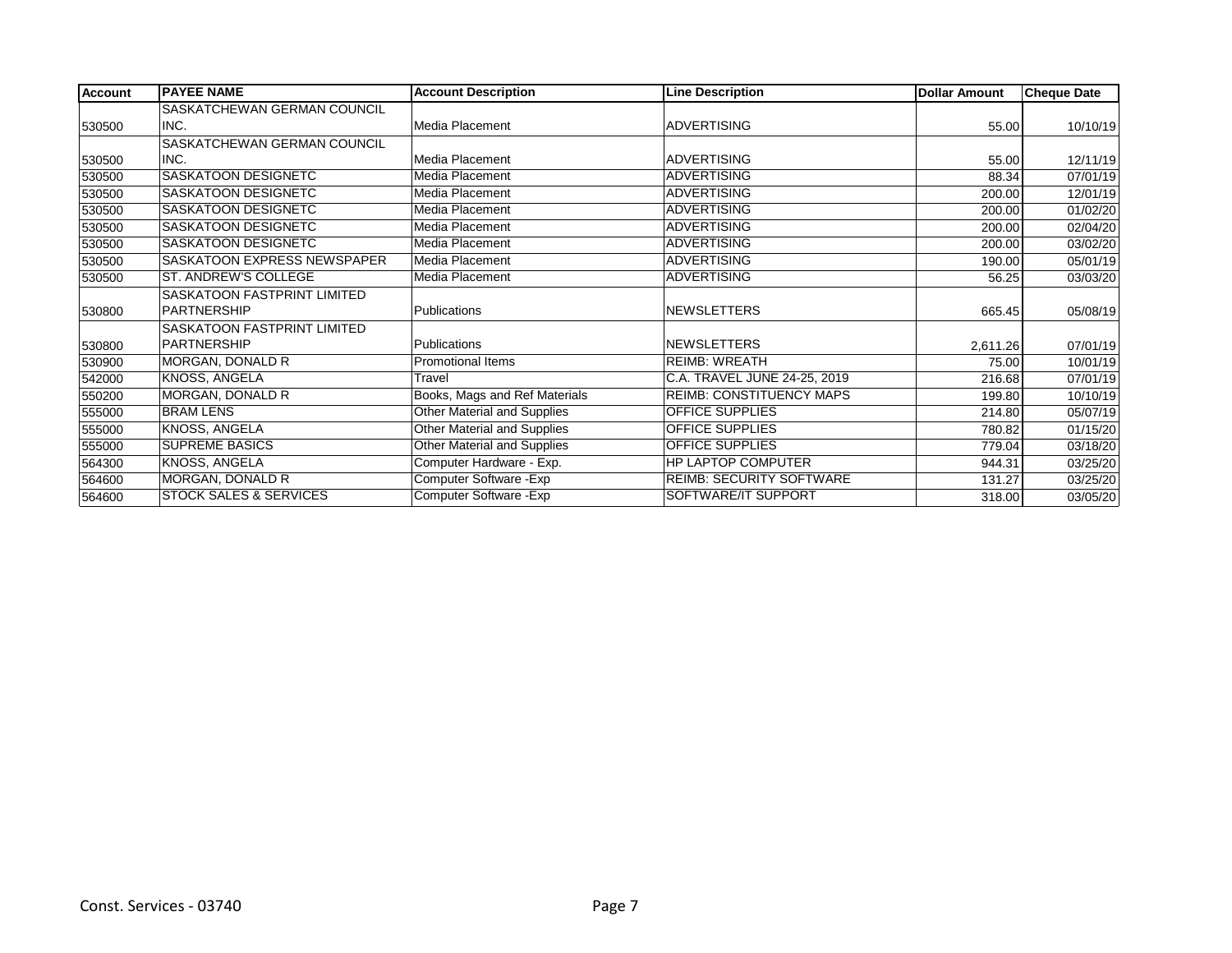| <b>Account</b> | <b>PAYEE NAME</b>                  | <b>Account Description</b>    | <b>Line Description</b>         | <b>Dollar Amount</b> | <b>Cheque Date</b> |
|----------------|------------------------------------|-------------------------------|---------------------------------|----------------------|--------------------|
|                | SASKATCHEWAN GERMAN COUNCIL        |                               |                                 |                      |                    |
| 530500         | INC.                               | Media Placement               | <b>ADVERTISING</b>              | 55.00                | 10/10/19           |
|                | SASKATCHEWAN GERMAN COUNCIL        |                               |                                 |                      |                    |
| 530500         | INC.                               | Media Placement               | <b>ADVERTISING</b>              | 55.00                | 12/11/19           |
| 530500         | <b>SASKATOON DESIGNETC</b>         | Media Placement               | <b>ADVERTISING</b>              | 88.34                | 07/01/19           |
| 530500         | <b>SASKATOON DESIGNETC</b>         | Media Placement               | <b>ADVERTISING</b>              | 200.00               | 12/01/19           |
| 530500         | <b>SASKATOON DESIGNETC</b>         | Media Placement               | <b>ADVERTISING</b>              | 200.00               | 01/02/20           |
| 530500         | <b>SASKATOON DESIGNETC</b>         | Media Placement               | <b>ADVERTISING</b>              | 200.00               | 02/04/20           |
| 530500         | <b>SASKATOON DESIGNETC</b>         | Media Placement               | <b>ADVERTISING</b>              | 200.00               | 03/02/20           |
| 530500         | <b>SASKATOON EXPRESS NEWSPAPER</b> | Media Placement               | <b>ADVERTISING</b>              | 190.00               | 05/01/19           |
| 530500         | <b>ST. ANDREW'S COLLEGE</b>        | Media Placement               | <b>ADVERTISING</b>              | 56.25                | 03/03/20           |
|                | SASKATOON FASTPRINT LIMITED        |                               |                                 |                      |                    |
| 530800         | PARTNERSHIP                        | Publications                  | NEWSLETTERS                     | 665.45               | 05/08/19           |
|                | SASKATOON FASTPRINT LIMITED        |                               |                                 |                      |                    |
| 530800         | PARTNERSHIP                        | Publications                  | NEWSLETTERS                     | 2,611.26             | 07/01/19           |
| 530900         | MORGAN, DONALD R                   | <b>Promotional Items</b>      | <b>REIMB: WREATH</b>            | 75.00                | 10/01/19           |
| 542000         | <b>KNOSS, ANGELA</b>               | Travel                        | C.A. TRAVEL JUNE 24-25, 2019    | 216.68               | 07/01/19           |
| 550200         | MORGAN, DONALD R                   | Books, Mags and Ref Materials | <b>REIMB: CONSTITUENCY MAPS</b> | 199.80               | 10/10/19           |
| 555000         | <b>BRAM LENS</b>                   | Other Material and Supplies   | OFFICE SUPPLIES                 | 214.80               | 05/07/19           |
| 555000         | KNOSS, ANGELA                      | Other Material and Supplies   | <b>OFFICE SUPPLIES</b>          | 780.82               | 01/15/20           |
| 555000         | <b>SUPREME BASICS</b>              | Other Material and Supplies   | <b>OFFICE SUPPLIES</b>          | 779.04               | 03/18/20           |
| 564300         | KNOSS, ANGELA                      | Computer Hardware - Exp.      | <b>HP LAPTOP COMPUTER</b>       | 944.31               | 03/25/20           |
| 564600         | MORGAN, DONALD R                   | Computer Software - Exp       | <b>REIMB: SECURITY SOFTWARE</b> | 131.27               | 03/25/20           |
| 564600         | <b>STOCK SALES &amp; SERVICES</b>  | Computer Software - Exp       | SOFTWARE/IT SUPPORT             | 318.00               | 03/05/20           |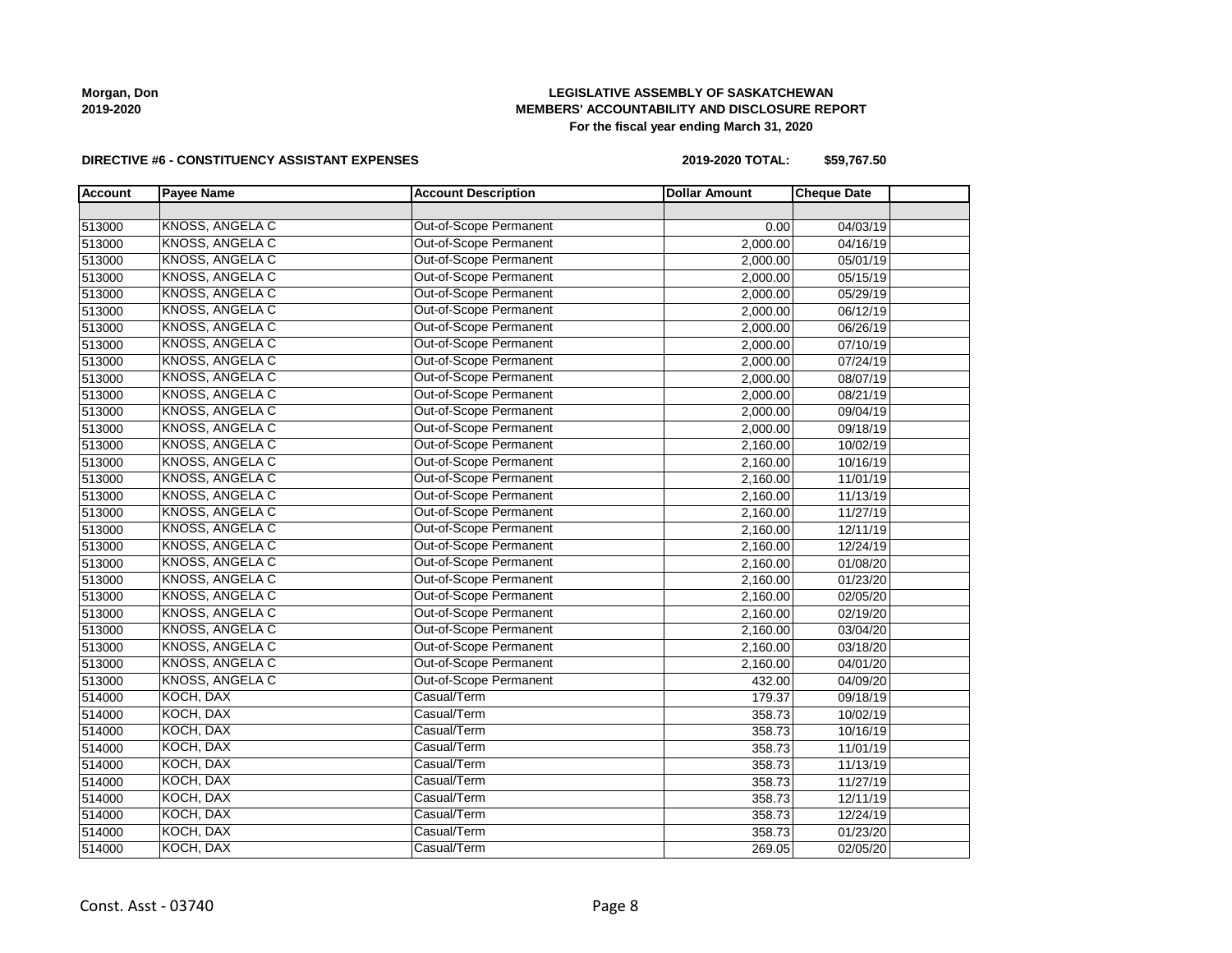**Morgan, Don 2019-2020**

# **LEGISLATIVE ASSEMBLY OF SASKATCHEWAN MEMBERS' ACCOUNTABILITY AND DISCLOSURE REPORT For the fiscal year ending March 31, 2020**

#### **DIRECTIVE #6 - CONSTITUENCY ASSISTANT EXPENSES**

**2019-2020 TOTAL: \$59,767.50**

| <b>Account</b> | <b>Payee Name</b>      | <b>Account Description</b> | <b>Dollar Amount</b> | <b>Cheque Date</b> |
|----------------|------------------------|----------------------------|----------------------|--------------------|
|                |                        |                            |                      |                    |
| 513000         | KNOSS, ANGELA C        | Out-of-Scope Permanent     | 0.00                 | 04/03/19           |
| 513000         | <b>KNOSS, ANGELA C</b> | Out-of-Scope Permanent     | 2,000.00             | 04/16/19           |
| 513000         | KNOSS, ANGELA C        | Out-of-Scope Permanent     | 2,000.00             | 05/01/19           |
| 513000         | <b>KNOSS, ANGELA C</b> | Out-of-Scope Permanent     | 2,000.00             | 05/15/19           |
| 513000         | <b>KNOSS, ANGELA C</b> | Out-of-Scope Permanent     | 2,000.00             | 05/29/19           |
| 513000         | <b>KNOSS, ANGELA C</b> | Out-of-Scope Permanent     | 2,000.00             | 06/12/19           |
| 513000         | <b>KNOSS, ANGELA C</b> | Out-of-Scope Permanent     | 2,000.00             | 06/26/19           |
| 513000         | KNOSS, ANGELA C        | Out-of-Scope Permanent     | 2,000.00             | 07/10/19           |
| 513000         | <b>KNOSS, ANGELA C</b> | Out-of-Scope Permanent     | 2,000.00             | 07/24/19           |
| 513000         | <b>KNOSS, ANGELA C</b> | Out-of-Scope Permanent     | 2,000.00             | 08/07/19           |
| 513000         | <b>KNOSS, ANGELA C</b> | Out-of-Scope Permanent     | 2,000.00             | 08/21/19           |
| 513000         | KNOSS, ANGELA C        | Out-of-Scope Permanent     | 2,000.00             | 09/04/19           |
| 513000         | KNOSS, ANGELA C        | Out-of-Scope Permanent     | 2,000.00             | 09/18/19           |
| 513000         | <b>KNOSS, ANGELA C</b> | Out-of-Scope Permanent     | 2,160.00             | 10/02/19           |
| 513000         | <b>KNOSS, ANGELA C</b> | Out-of-Scope Permanent     | 2,160.00             | 10/16/19           |
| 513000         | KNOSS, ANGELA C        | Out-of-Scope Permanent     | 2,160.00             | 11/01/19           |
| 513000         | KNOSS, ANGELA C        | Out-of-Scope Permanent     | 2,160.00             | 11/13/19           |
| 513000         | <b>KNOSS, ANGELA C</b> | Out-of-Scope Permanent     | 2,160.00             | 11/27/19           |
| 513000         | <b>KNOSS, ANGELA C</b> | Out-of-Scope Permanent     | 2,160.00             | 12/11/19           |
| 513000         | KNOSS, ANGELA C        | Out-of-Scope Permanent     | 2,160.00             | 12/24/19           |
| 513000         | <b>KNOSS, ANGELA C</b> | Out-of-Scope Permanent     | 2,160.00             | 01/08/20           |
| 513000         | KNOSS, ANGELA C        | Out-of-Scope Permanent     | 2,160.00             | 01/23/20           |
| 513000         | <b>KNOSS, ANGELA C</b> | Out-of-Scope Permanent     | 2,160.00             | 02/05/20           |
| 513000         | <b>KNOSS, ANGELA C</b> | Out-of-Scope Permanent     | 2,160.00             | 02/19/20           |
| 513000         | <b>KNOSS, ANGELA C</b> | Out-of-Scope Permanent     | 2,160.00             | 03/04/20           |
| 513000         | <b>KNOSS, ANGELA C</b> | Out-of-Scope Permanent     | 2,160.00             | 03/18/20           |
| 513000         | <b>KNOSS, ANGELA C</b> | Out-of-Scope Permanent     | 2,160.00             | 04/01/20           |
| 513000         | <b>KNOSS, ANGELA C</b> | Out-of-Scope Permanent     | 432.00               | 04/09/20           |
| 514000         | KOCH, DAX              | Casual/Term                | 179.37               | 09/18/19           |
| 514000         | KOCH, DAX              | Casual/Term                | 358.73               | 10/02/19           |
| 514000         | KOCH, DAX              | Casual/Term                | 358.73               | 10/16/19           |
| 514000         | KOCH, DAX              | Casual/Term                | 358.73               | 11/01/19           |
| 514000         | KOCH, DAX              | Casual/Term                | 358.73               | 11/13/19           |
| 514000         | KOCH, DAX              | Casual/Term                | 358.73               | 11/27/19           |
| 514000         | KOCH, DAX              | Casual/Term                | 358.73               | 12/11/19           |
| 514000         | KOCH, DAX              | Casual/Term                | 358.73               | 12/24/19           |
| 514000         | KOCH, DAX              | Casual/Term                | 358.73               | 01/23/20           |
| 514000         | KOCH, DAX              | Casual/Term                | 269.05               | 02/05/20           |